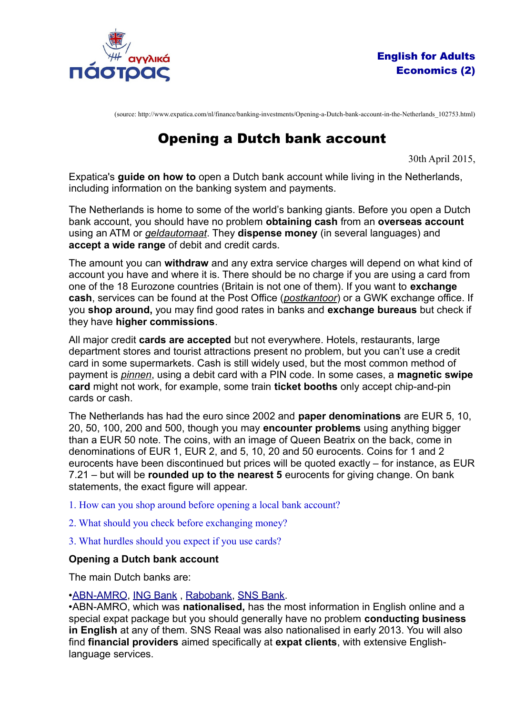

(source: http://www.expatica.com/nl/finance/banking-investments/Opening-a-Dutch-bank-account-in-the-Netherlands\_102753.html)

# Opening a Dutch bank account

30th April 2015,

Expatica's **guide on how to** open a Dutch bank account while living in the Netherlands, including information on the banking system and payments.

The Netherlands is home to some of the world's banking giants. Before you open a Dutch bank account, you should have no problem **obtaining cash** from an **overseas account** using an ATM or *geldautomaat*. They **dispense money** (in several languages) and **accept a wide range** of debit and credit cards.

The amount you can **withdraw** and any extra service charges will depend on what kind of account you have and where it is. There should be no charge if you are using a card from one of the 18 Eurozone countries (Britain is not one of them). If you want to **exchange cash**, services can be found at the Post Office (*postkantoor*) or a GWK exchange office. If you **shop around,** you may find good rates in banks and **exchange bureaus** but check if they have **higher commissions**.

All major credit **cards are accepted** but not everywhere. Hotels, restaurants, large department stores and tourist attractions present no problem, but you can't use a credit card in some supermarkets. Cash is still widely used, but the most common method of payment is *pinnen*, using a debit card with a PIN code. In some cases, a **magnetic swipe card** might not work, for example, some train **ticket booths** only accept chip-and-pin cards or cash.

The Netherlands has had the euro since 2002 and **paper denominations** are EUR 5, 10, 20, 50, 100, 200 and 500, though you may **encounter problems** using anything bigger than a EUR 50 note. The coins, with an image of Queen Beatrix on the back, come in denominations of EUR 1, EUR 2, and 5, 10, 20 and 50 eurocents. Coins for 1 and 2 eurocents have been discontinued but prices will be quoted exactly – for instance, as EUR 7.21 – but will be **rounded up to the nearest 5** eurocents for giving change. On bank statements, the exact figure will appear.

1. How can you shop around before opening a local bank account?

- 2. What should you check before exchanging money?
- 3. What hurdles should you expect if you use cards?

## **Opening a Dutch bank account**

The main Dutch banks are:

## •[ABN-AMRO,](http://www.abnamro.com/internationalclients) [ING Bank](http://www.ing.nl/) , [Rabobank,](http://www.rabobank.nl/) [SNS Bank.](http://www.snsbank.nl/)

•ABN-AMRO, which was **nationalised,** has the most information in English online and a special expat package but you should generally have no problem **conducting business in English** at any of them. SNS Reaal was also nationalised in early 2013. You will also find **financial providers** aimed specifically at **expat clients**, with extensive Englishlanguage services.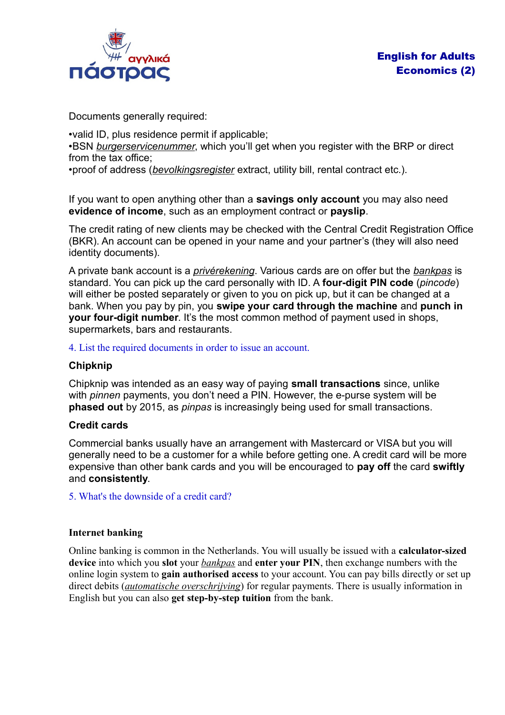

Documents generally required:

•valid ID, plus residence permit if applicable; •BSN *burgerservicenummer*, which you'll get when you register with the BRP or direct from the tax office;

•proof of address (*bevolkingsregister* extract, utility bill, rental contract etc.).

If you want to open anything other than a **savings only account** you may also need **evidence of income**, such as an employment contract or **payslip**.

The credit rating of new clients may be checked with the Central Credit Registration Office (BKR). An account can be opened in your name and your partner's (they will also need identity documents).

A private bank account is a *privérekening*. Various cards are on offer but the *bankpas* is standard. You can pick up the card personally with ID. A **four-digit PIN code** (*pincode*) will either be posted separately or given to you on pick up, but it can be changed at a bank. When you pay by pin, you **swipe your card through the machine** and **punch in your four-digit number**. It's the most common method of payment used in shops, supermarkets, bars and restaurants.

4. List the required documents in order to issue an account.

## **Chipknip**

Chipknip was intended as an easy way of paying **small transactions** since, unlike with *pinnen* payments, you don't need a PIN. However, the e-purse system will be **phased out** by 2015, as *pinpas* is increasingly being used for small transactions.

## **Credit cards**

Commercial banks usually have an arrangement with Mastercard or VISA but you will generally need to be a customer for a while before getting one. A credit card will be more expensive than other bank cards and you will be encouraged to **pay off** the card **swiftly**  and **consistently**.

5. What's the downside of a credit card?

## **Internet banking**

Online banking is common in the Netherlands. You will usually be issued with a **calculator-sized device** into which you **slot** your *bankpas* and **enter your PIN**, then exchange numbers with the online login system to **gain authorised access** to your account. You can pay bills directly or set up direct debits (*automatische overschrijving*) for regular payments. There is usually information in English but you can also **get step-by-step tuition** from the bank.